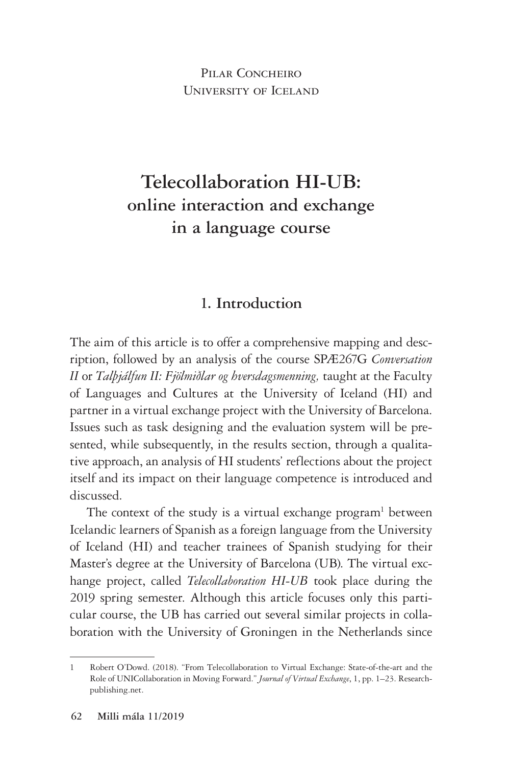PILAR CONCHEIRO University of Iceland

# **Telecollaboration HI-UB: online interaction and exchange in a language course**

### **1. Introduction**

The aim of this article is to offer a comprehensive mapping and description, followed by an analysis of the course SPÆ267G *Conversation II* or *Talþjálfun II: Fjölmiðlar og hversdagsmenning,* taught at the Faculty of Languages and Cultures at the University of Iceland (HI) and partner in a virtual exchange project with the University of Barcelona. Issues such as task designing and the evaluation system will be presented, while subsequently, in the results section, through a qualitative approach, an analysis of HI students' reflections about the project itself and its impact on their language competence is introduced and discussed.

The context of the study is a virtual exchange program<sup>1</sup> between Icelandic learners of Spanish as a foreign language from the University of Iceland (HI) and teacher trainees of Spanish studying for their Master's degree at the University of Barcelona (UB). The virtual exchange project, called *Telecollaboration HI-UB* took place during the 2019 spring semester. Although this article focuses only this particular course, the UB has carried out several similar projects in collaboration with the University of Groningen in the Netherlands since

<sup>1</sup> Robert O'Dowd. (2018). "From Telecollaboration to Virtual Exchange: State-of-the-art and the Role of UNICollaboration in Moving Forward." *Journal of Virtual Exchange*, 1, pp. 1–23. Researchpublishing.net.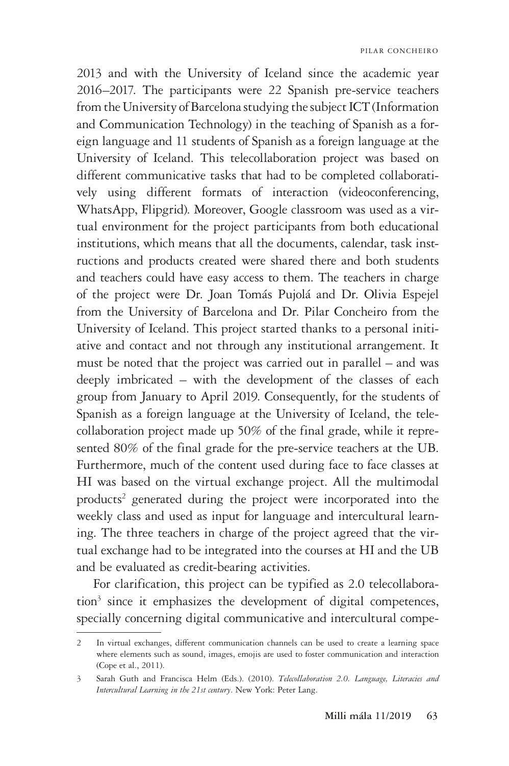2013 and with the University of Iceland since the academic year 2016–2017. The participants were 22 Spanish pre-service teachers from the University of Barcelona studying the subject ICT (Information and Communication Technology) in the teaching of Spanish as a foreign language and 11 students of Spanish as a foreign language at the University of Iceland. This telecollaboration project was based on different communicative tasks that had to be completed collaboratively using different formats of interaction (videoconferencing, WhatsApp, Flipgrid). Moreover, Google classroom was used as a virtual environment for the project participants from both educational institutions, which means that all the documents, calendar, task instructions and products created were shared there and both students and teachers could have easy access to them. The teachers in charge of the project were Dr. Joan Tomás Pujolá and Dr. Olivia Espejel from the University of Barcelona and Dr. Pilar Concheiro from the University of Iceland. This project started thanks to a personal initiative and contact and not through any institutional arrangement. It must be noted that the project was carried out in parallel – and was deeply imbricated – with the development of the classes of each group from January to April 2019. Consequently, for the students of Spanish as a foreign language at the University of Iceland, the telecollaboration project made up 50% of the final grade, while it represented 80% of the final grade for the pre-service teachers at the UB. Furthermore, much of the content used during face to face classes at HI was based on the virtual exchange project. All the multimodal products<sup>2</sup> generated during the project were incorporated into the weekly class and used as input for language and intercultural learning. The three teachers in charge of the project agreed that the virtual exchange had to be integrated into the courses at HI and the UB and be evaluated as credit-bearing activities.

For clarification, this project can be typified as 2.0 telecollaboration<sup>3</sup> since it emphasizes the development of digital competences, specially concerning digital communicative and intercultural compe-

<sup>2</sup> In virtual exchanges, different communication channels can be used to create a learning space where elements such as sound, images, emojis are used to foster communication and interaction (Cope et al., 2011).

<sup>3</sup> Sarah Guth and Francisca Helm (Eds.). (2010). *Telecollaboration 2.0. Language, Literacies and Intercultural Learning in the 21st century*. New York: Peter Lang.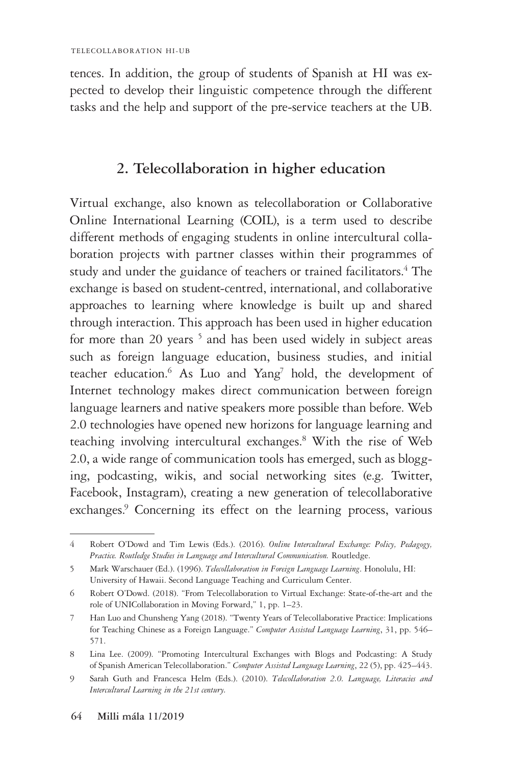tences. In addition, the group of students of Spanish at HI was expected to develop their linguistic competence through the different tasks and the help and support of the pre-service teachers at the UB.

### **2. Telecollaboration in higher education**

Virtual exchange, also known as telecollaboration or Collaborative Online International Learning (COIL), is a term used to describe different methods of engaging students in online intercultural collaboration projects with partner classes within their programmes of study and under the guidance of teachers or trained facilitators.<sup>4</sup> The exchange is based on student-centred, international, and collaborative approaches to learning where knowledge is built up and shared through interaction. This approach has been used in higher education for more than 20 years<sup>5</sup> and has been used widely in subject areas such as foreign language education, business studies, and initial teacher education.<sup>6</sup> As Luo and Yang<sup>7</sup> hold, the development of Internet technology makes direct communication between foreign language learners and native speakers more possible than before. Web 2.0 technologies have opened new horizons for language learning and teaching involving intercultural exchanges.8 With the rise of Web 2.0, a wide range of communication tools has emerged, such as blogging, podcasting, wikis, and social networking sites (e.g. Twitter, Facebook, Instagram), creating a new generation of telecollaborative exchanges.<sup>9</sup> Concerning its effect on the learning process, various

<sup>4</sup> Robert O'Dowd and Tim Lewis (Eds.). (2016). *Online Intercultural Exchange: Policy, Pedagogy, Practice. Routledge Studies in Language and Intercultural Communication.* Routledge.

<sup>5</sup> Mark Warschauer (Ed.). (1996). *Telecollaboration in Foreign Language Learning*. Honolulu, HI: University of Hawaii. Second Language Teaching and Curriculum Center.

<sup>6</sup> Robert O'Dowd. (2018). "From Telecollaboration to Virtual Exchange: State-of-the-art and the role of UNICollaboration in Moving Forward," 1, pp. 1–23.

<sup>7</sup> Han Luo and Chunsheng Yang (2018). "Twenty Years of Telecollaborative Practice: Implications for Teaching Chinese as a Foreign Language." *Computer Assisted Language Learning*, 31, pp. 546– 571.

<sup>8</sup> Lina Lee. (2009). "Promoting Intercultural Exchanges with Blogs and Podcasting: A Study of Spanish American Telecollaboration." *Computer Assisted Language Learning*, 22 (5), pp. 425–443.

<sup>9</sup> Sarah Guth and Francesca Helm (Eds.). (2010). *Telecollaboration 2.0. Language, Literacies and Intercultural Learning in the 21st century.*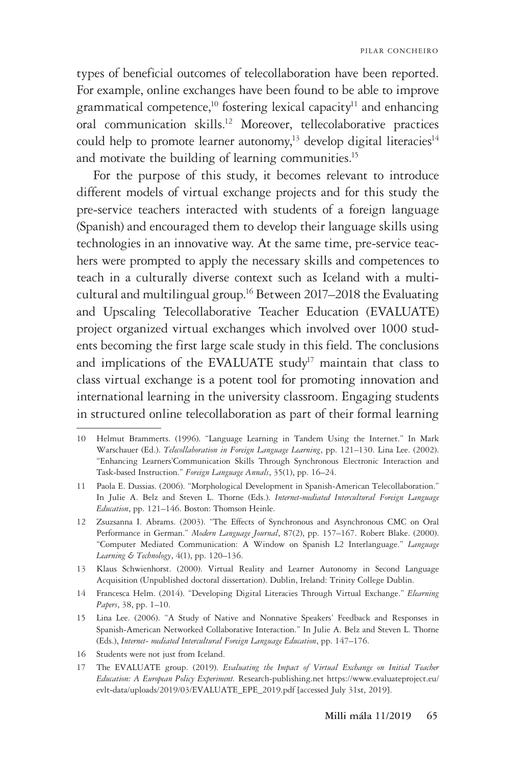types of beneficial outcomes of telecollaboration have been reported. For example, online exchanges have been found to be able to improve grammatical competence,<sup>10</sup> fostering lexical capacity<sup>11</sup> and enhancing oral communication skills.12 Moreover, tellecolaborative practices could help to promote learner autonomy,<sup>13</sup> develop digital literacies<sup>14</sup> and motivate the building of learning communities.<sup>15</sup>

For the purpose of this study, it becomes relevant to introduce different models of virtual exchange projects and for this study the pre-service teachers interacted with students of a foreign language (Spanish) and encouraged them to develop their language skills using technologies in an innovative way. At the same time, pre-service teachers were prompted to apply the necessary skills and competences to teach in a culturally diverse context such as Iceland with a multicultural and multilingual group.16 Between 2017–2018 the Evaluating and Upscaling Telecollaborative Teacher Education (EVALUATE) project organized virtual exchanges which involved over 1000 students becoming the first large scale study in this field. The conclusions and implications of the EVALUATE study<sup>17</sup> maintain that class to class virtual exchange is a potent tool for promoting innovation and international learning in the university classroom. Engaging students in structured online telecollaboration as part of their formal learning

16 Students were not just from Iceland.

<sup>10</sup> Helmut Brammerts. (1996). "Language Learning in Tandem Using the Internet." In Mark Warschauer (Ed.). *Telecollaboration in Foreign Language Learning*, pp. 121–130. Lina Lee. (2002). "Enhancing Learners'Communication Skills Through Synchronous Electronic Interaction and Task-based Instruction." *Foreign Language Annals*, 35(1), pp. 16–24.

<sup>11</sup> Paola E. Dussias. (2006). "Morphological Development in Spanish-American Telecollaboration." In Julie A. Belz and Steven L. Thorne (Eds.). *Internet-mediated Intercultural Foreign Language Education*, pp. 121–146. Boston: Thomson Heinle.

<sup>12</sup> Zsuzsanna I. Abrams. (2003). "The Effects of Synchronous and Asynchronous CMC on Oral Performance in German." *Modern Language Journal*, 87(2), pp. 157–167. Robert Blake. (2000). "Computer Mediated Communication: A Window on Spanish L2 Interlanguage." *Language Learning & Technology*, 4(1), pp. 120–136.

<sup>13</sup> Klaus Schwienhorst. (2000). Virtual Reality and Learner Autonomy in Second Language Acquisition (Unpublished doctoral dissertation). Dublin, Ireland: Trinity College Dublin.

<sup>14</sup> Francesca Helm. (2014). "Developing Digital Literacies Through Virtual Exchange." *Elearning Papers*, 38, pp. 1–10.

<sup>15</sup> Lina Lee. (2006). "A Study of Native and Nonnative Speakers' Feedback and Responses in Spanish-American Networked Collaborative Interaction." In Julie A. Belz and Steven L. Thorne (Eds.), *Internet- mediated Intercultural Foreign Language Education*, pp. 147–176.

<sup>17</sup> The EVALUATE group. (2019). *Evaluating the Impact of Virtual Exchange on Initial Teacher Education: A European Policy Experiment.* Research-publishing.net https://www.evaluateproject.eu/ evlt-data/uploads/2019/03/EVALUATE\_EPE\_2019.pdf [accessed July 31st, 2019].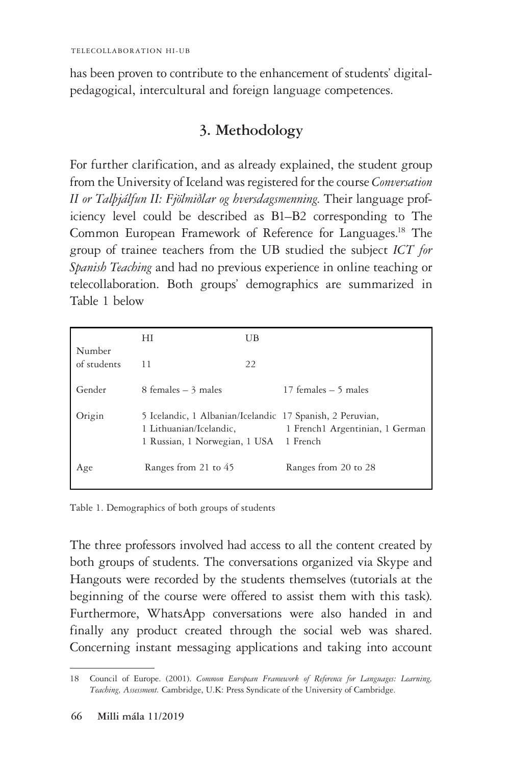has been proven to contribute to the enhancement of students' digitalpedagogical, intercultural and foreign language competences.

# **3. Methodology**

For further clarification, and as already explained, the student group from the University of Iceland was registered for the course *Conversation II or Talþjálfun II: Fjölmiðlar og hversdagsmenning*. Their language proficiency level could be described as B1–B2 corresponding to The Common European Framework of Reference for Languages.18 The group of trainee teachers from the UB studied the subject *ICT for Spanish Teaching* and had no previous experience in online teaching or telecollaboration. Both groups' demographics are summarized in Table 1 below

| Number<br>of students | НI                                                                                                                             | UB |                                 |
|-----------------------|--------------------------------------------------------------------------------------------------------------------------------|----|---------------------------------|
|                       | 11                                                                                                                             | 22 |                                 |
| Gender                | 8 females $-3$ males                                                                                                           |    | 17 females $-5$ males           |
| Origin                | 5 Icelandic, 1 Albanian/Icelandic 17 Spanish, 2 Peruvian,<br>1 Lithuanian/Icelandic,<br>1 Russian, 1 Norwegian, 1 USA 1 French |    | 1 French1 Argentinian, 1 German |
| Age                   | Ranges from 21 to 45                                                                                                           |    | Ranges from 20 to 28            |

Table 1. Demographics of both groups of students

The three professors involved had access to all the content created by both groups of students. The conversations organized via Skype and Hangouts were recorded by the students themselves (tutorials at the beginning of the course were offered to assist them with this task). Furthermore, WhatsApp conversations were also handed in and finally any product created through the social web was shared. Concerning instant messaging applications and taking into account

<sup>18</sup> Council of Europe. (2001). *Common European Framework of Reference for Languages: Learning, Teaching, Assessment.* Cambridge, U.K: Press Syndicate of the University of Cambridge.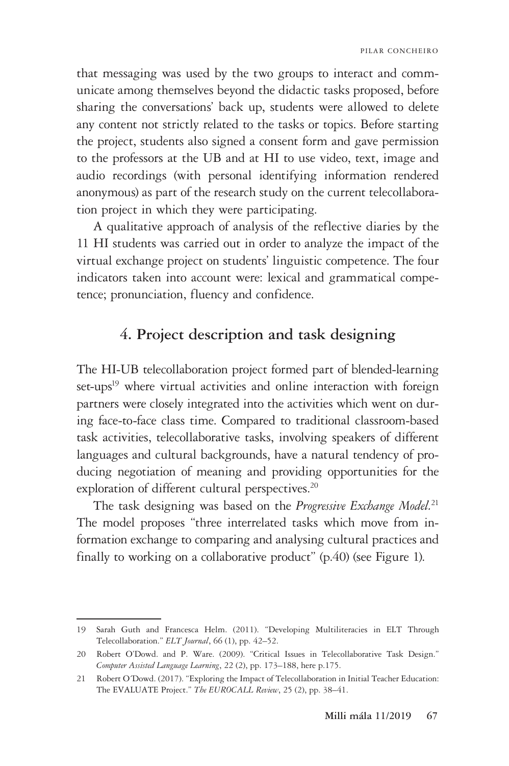that messaging was used by the two groups to interact and communicate among themselves beyond the didactic tasks proposed, before sharing the conversations' back up, students were allowed to delete any content not strictly related to the tasks or topics. Before starting the project, students also signed a consent form and gave permission to the professors at the UB and at HI to use video, text, image and audio recordings (with personal identifying information rendered anonymous) as part of the research study on the current telecollaboration project in which they were participating.

A qualitative approach of analysis of the reflective diaries by the 11 HI students was carried out in order to analyze the impact of the virtual exchange project on students' linguistic competence. The four indicators taken into account were: lexical and grammatical competence; pronunciation, fluency and confidence.

## **4. Project description and task designing**

The HI-UB telecollaboration project formed part of blended-learning set-ups<sup>19</sup> where virtual activities and online interaction with foreign partners were closely integrated into the activities which went on during face-to-face class time. Compared to traditional classroom-based task activities, telecollaborative tasks, involving speakers of different languages and cultural backgrounds, have a natural tendency of producing negotiation of meaning and providing opportunities for the exploration of different cultural perspectives.<sup>20</sup>

The task designing was based on the *Progressive Exchange Model.*<sup>21</sup> The model proposes "three interrelated tasks which move from information exchange to comparing and analysing cultural practices and finally to working on a collaborative product" (p.40) (see Figure 1).

<sup>19</sup> Sarah Guth and Francesca Helm. (2011). "Developing Multiliteracies in ELT Through Telecollaboration." *ELT Journal*, 66 (1), pp. 42–52.

<sup>20</sup> Robert O'Dowd. and P. Ware. (2009). "Critical Issues in Telecollaborative Task Design." *Computer Assisted Language Learning*, 22 (2), pp. 173–188, here p.175.

<sup>21</sup> Robert O´Dowd. (2017). "Exploring the Impact of Telecollaboration in Initial Teacher Education: The EVALUATE Project." *The EUROCALL Review*, 25 (2), pp. 38–41.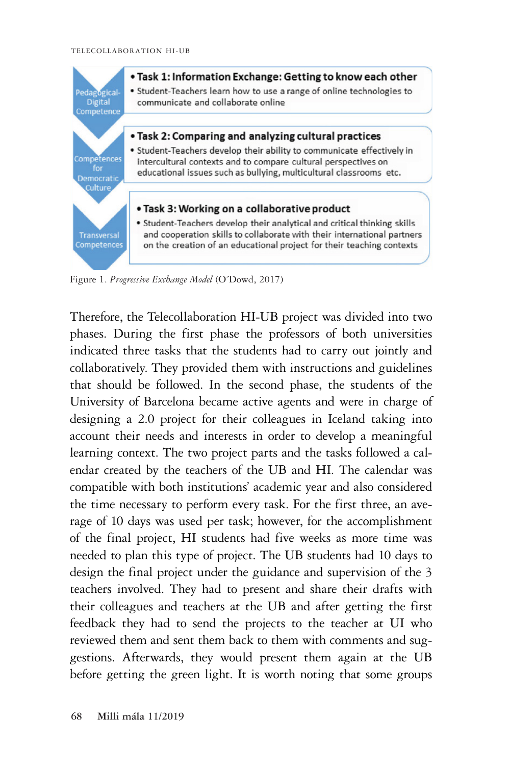

Figure 1. *Progressive Exchange Model* (O´Dowd, 2017)

Therefore, the Telecollaboration HI-UB project was divided into two phases. During the first phase the professors of both universities indicated three tasks that the students had to carry out jointly and collaboratively. They provided them with instructions and guidelines that should be followed. In the second phase, the students of the University of Barcelona became active agents and were in charge of designing a 2.0 project for their colleagues in Iceland taking into account their needs and interests in order to develop a meaningful learning context. The two project parts and the tasks followed a calendar created by the teachers of the UB and HI. The calendar was compatible with both institutions' academic year and also considered the time necessary to perform every task. For the first three, an average of 10 days was used per task; however, for the accomplishment of the final project, HI students had five weeks as more time was needed to plan this type of project. The UB students had 10 days to design the final project under the guidance and supervision of the 3 teachers involved. They had to present and share their drafts with their colleagues and teachers at the UB and after getting the first feedback they had to send the projects to the teacher at UI who reviewed them and sent them back to them with comments and suggestions. Afterwards, they would present them again at the UB before getting the green light. It is worth noting that some groups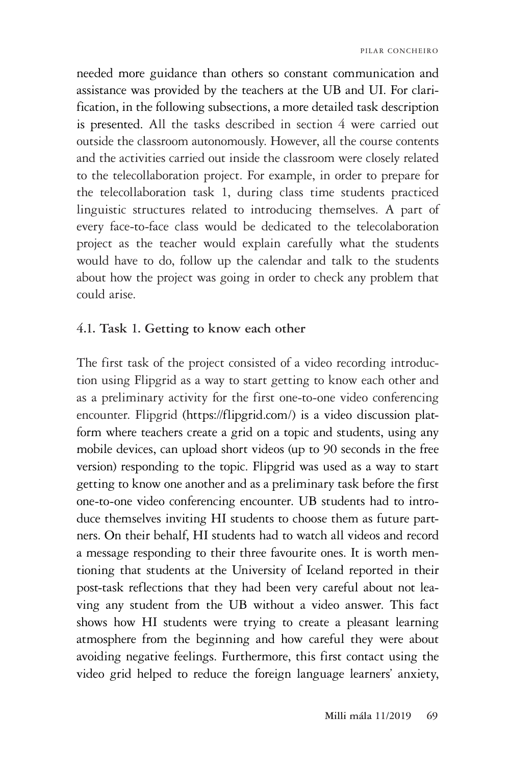needed more guidance than others so constant communication and assistance was provided by the teachers at the UB and UI. For clarification, in the following subsections, a more detailed task description is presented. All the tasks described in section 4 were carried out outside the classroom autonomously. However, all the course contents and the activities carried out inside the classroom were closely related to the telecollaboration project. For example, in order to prepare for the telecollaboration task 1, during class time students practiced linguistic structures related to introducing themselves. A part of every face-to-face class would be dedicated to the telecolaboration project as the teacher would explain carefully what the students would have to do, follow up the calendar and talk to the students about how the project was going in order to check any problem that could arise.

#### **4.1. Task 1. Getting to know each other**

The first task of the project consisted of a video recording introduction using Flipgrid as a way to start getting to know each other and as a preliminary activity for the first one-to-one video conferencing encounter. Flipgrid (https://flipgrid.com/) is a video discussion platform where teachers create a grid on a topic and students, using any mobile devices, can upload short videos (up to 90 seconds in the free version) responding to the topic. Flipgrid was used as a way to start getting to know one another and as a preliminary task before the first one-to-one video conferencing encounter. UB students had to introduce themselves inviting HI students to choose them as future partners. On their behalf, HI students had to watch all videos and record a message responding to their three favourite ones. It is worth mentioning that students at the University of Iceland reported in their post-task reflections that they had been very careful about not leaving any student from the UB without a video answer. This fact shows how HI students were trying to create a pleasant learning atmosphere from the beginning and how careful they were about avoiding negative feelings. Furthermore, this first contact using the video grid helped to reduce the foreign language learners' anxiety,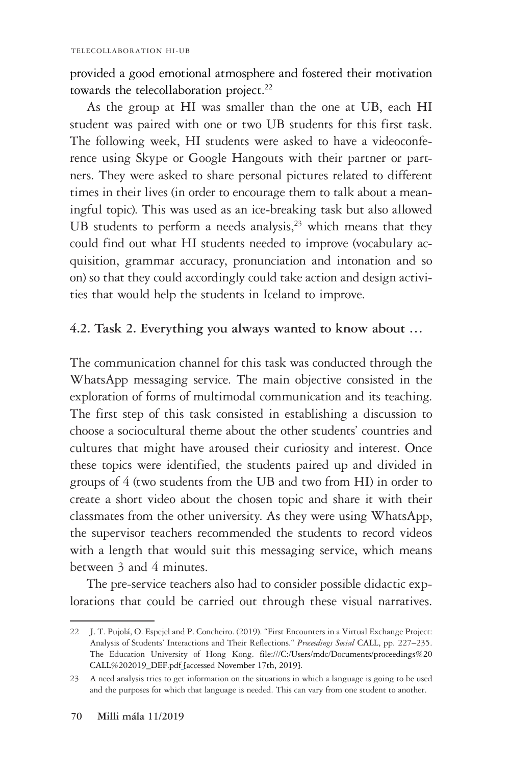provided a good emotional atmosphere and fostered their motivation towards the telecollaboration project.<sup>22</sup>

As the group at HI was smaller than the one at UB, each HI student was paired with one or two UB students for this first task. The following week, HI students were asked to have a videoconference using Skype or Google Hangouts with their partner or partners. They were asked to share personal pictures related to different times in their lives (in order to encourage them to talk about a meaningful topic). This was used as an ice-breaking task but also allowed UB students to perform a needs analysis, $23$  which means that they could find out what HI students needed to improve (vocabulary acquisition, grammar accuracy, pronunciation and intonation and so on) so that they could accordingly could take action and design activities that would help the students in Iceland to improve.

### **4.2. Task 2. Everything you always wanted to know about …**

The communication channel for this task was conducted through the WhatsApp messaging service. The main objective consisted in the exploration of forms of multimodal communication and its teaching. The first step of this task consisted in establishing a discussion to choose a sociocultural theme about the other students' countries and cultures that might have aroused their curiosity and interest. Once these topics were identified, the students paired up and divided in groups of 4 (two students from the UB and two from HI) in order to create a short video about the chosen topic and share it with their classmates from the other university. As they were using WhatsApp, the supervisor teachers recommended the students to record videos with a length that would suit this messaging service, which means between 3 and 4 minutes.

The pre-service teachers also had to consider possible didactic explorations that could be carried out through these visual narratives.

<sup>22</sup> J. T. Pujolá, O. Espejel and P. Concheiro. (2019). "First Encounters in a Virtual Exchange Project: Analysis of Students' Interactions and Their Reflections." *Proceedings Social* CALL, pp. 227–235. The Education University of Hong Kong. file:///C:/Users/mdc/Documents/proceedings%20 CALL%202019\_DEF.pdf [accessed November 17th, 2019].

<sup>23</sup> A need analysis tries to get information on the situations in which a language is going to be used and the purposes for which that language is needed. This can vary from one student to another.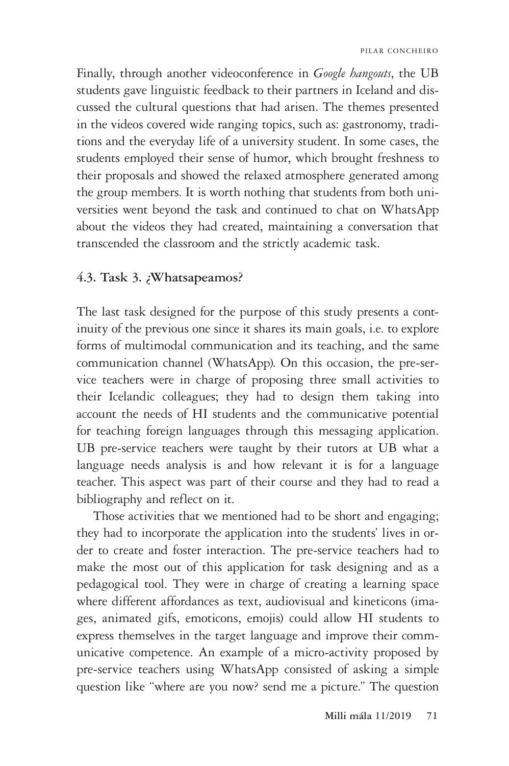Finally, through another videoconference in *Google hangouts*, the UB students gave linguistic feedback to their partners in Iceland and discussed the cultural questions that had arisen. The themes presented in the videos covered wide ranging topics, such as: gastronomy, traditions and the everyday life of a university student. In some cases, the students employed their sense of humor, which brought freshness to their proposals and showed the relaxed atmosphere generated among the group members. It is worth nothing that students from both universities went beyond the task and continued to chat on WhatsApp about the videos they had created, maintaining a conversation that transcended the classroom and the strictly academic task.

#### **4.3. Task 3. ¿Whatsapeamos?**

The last task designed for the purpose of this study presents a continuity of the previous one since it shares its main goals, i.e. to explore forms of multimodal communication and its teaching, and the same communication channel (WhatsApp). On this occasion, the pre-service teachers were in charge of proposing three small activities to their Icelandic colleagues; they had to design them taking into account the needs of HI students and the communicative potential for teaching foreign languages through this messaging application. UB pre-service teachers were taught by their tutors at UB what a language needs analysis is and how relevant it is for a language teacher. This aspect was part of their course and they had to read a bibliography and reflect on it.

Those activities that we mentioned had to be short and engaging; they had to incorporate the application into the students' lives in order to create and foster interaction. The pre-service teachers had to make the most out of this application for task designing and as a pedagogical tool. They were in charge of creating a learning space where different affordances as text, audiovisual and kineticons (images, animated gifs, emoticons, emojis) could allow HI students to express themselves in the target language and improve their communicative competence. An example of a micro-activity proposed by pre-service teachers using WhatsApp consisted of asking a simple question like "where are you now? send me a picture." The question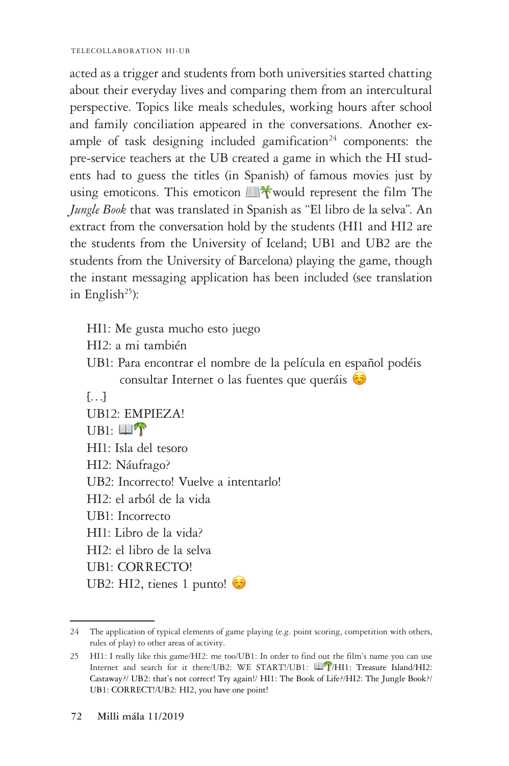TELECOLLABORATION HI-UB

acted as a trigger and students from both universities started chatting about their everyday lives and comparing them from an intercultural perspective. Topics like meals schedules, working hours after school and family conciliation appeared in the conversations. Another example of task designing included gamification<sup>24</sup> components: the pre-service teachers at the UB created a game in which the HI students had to guess the titles (in Spanish) of famous movies just by using emoticons. This emoticon  $\blacksquare$ \*would represent the film The *Jungle Book* that was translated in Spanish as "El libro de la selva". An extract from the conversation hold by the students (HI1 and HI2 are the students from the University of Iceland; UB1 and UB2 are the students from the University of Barcelona) playing the game, though the instant messaging application has been included (see translation in English $^{25}$ ):

- HI1: Me gusta mucho esto juego
- HI2: a mi también
- UB1: Para encontrar el nombre de la película en español podéis consultar Internet o las fuentes que queráis  $\odot$

```
\lceil \ldots \rceilUB12: EMPIEZA!
UB1: 17
HI1: Isla del tesoro
HI2: Náufrago?
UB2: Incorrecto! Vuelve a intentarlo!
HI2: el arból de la vida
UB1: Incorrecto
HI1: Libro de la vida?
HI2: el libro de la selva
UB1: CORRECTO!
UB2: HI2, tienes 1 punto!
```
<sup>24</sup> The application of typical elements of game playing (e.g. point scoring, competition with others, rules of play) to other areas of activity.

<sup>25</sup> HI1: I really like this game/HI2: me too/UB1: In order to find out the film's name you can use Internet and search for it there/UB2: WE START!/UB1:  $\Box$ T/HI1: Treasure Island/HI2: Castaway?/ UB2: that's not correct! Try again!/ HI1: The Book of Life?/HI2: The Jungle Book?/ UB1: CORRECT!/UB2: HI2, you have one point!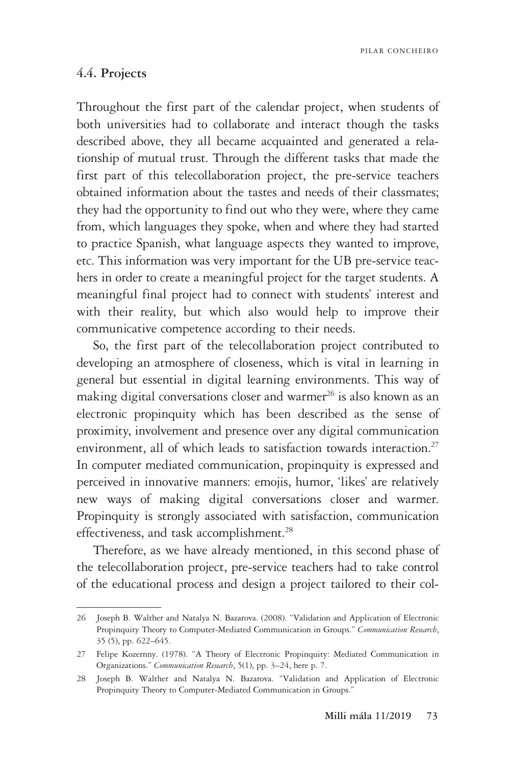PILAR CONCHEIRO

#### **4.4. Projects**

Throughout the first part of the calendar project, when students of both universities had to collaborate and interact though the tasks described above, they all became acquainted and generated a relationship of mutual trust. Through the different tasks that made the first part of this telecollaboration project, the pre-service teachers obtained information about the tastes and needs of their classmates; they had the opportunity to find out who they were, where they came from, which languages they spoke, when and where they had started to practice Spanish, what language aspects they wanted to improve, etc. This information was very important for the UB pre-service teachers in order to create a meaningful project for the target students. A meaningful final project had to connect with students' interest and with their reality, but which also would help to improve their communicative competence according to their needs.

So, the first part of the telecollaboration project contributed to developing an atmosphere of closeness, which is vital in learning in general but essential in digital learning environments. This way of making digital conversations closer and warmer<sup>26</sup> is also known as an electronic propinquity which has been described as the sense of proximity, involvement and presence over any digital communication environment, all of which leads to satisfaction towards interaction.<sup>27</sup> In computer mediated communication, propinquity is expressed and perceived in innovative manners: emojis, humor, 'likes' are relatively new ways of making digital conversations closer and warmer. Propinquity is strongly associated with satisfaction, communication effectiveness, and task accomplishment.<sup>28</sup>

Therefore, as we have already mentioned, in this second phase of the telecollaboration project, pre-service teachers had to take control of the educational process and design a project tailored to their col-

<sup>26</sup> Joseph B. Walther and Natalya N. Bazarova. (2008). "Validation and Application of Electronic Propinquity Theory to Computer-Mediated Communication in Groups." *Communication Research*, 35 (5), pp. 622–645.

<sup>27</sup> Felipe Kozernny. (1978). "A Theory of Electronic Propinquity: Mediated Communication in Organizations." *Communication Research*, 5(1), pp. 3–24, here p. 7.

<sup>28</sup> Joseph B. Walther and Natalya N. Bazarova. "Validation and Application of Electronic Propinquity Theory to Computer-Mediated Communication in Groups."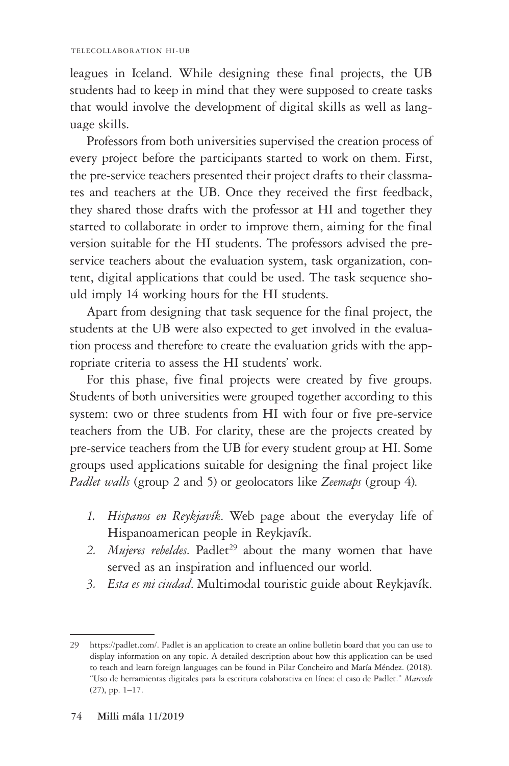#### TELECOLLABORATION HI-UB

leagues in Iceland. While designing these final projects, the UB students had to keep in mind that they were supposed to create tasks that would involve the development of digital skills as well as language skills.

Professors from both universities supervised the creation process of every project before the participants started to work on them. First, the pre-service teachers presented their project drafts to their classmates and teachers at the UB. Once they received the first feedback, they shared those drafts with the professor at HI and together they started to collaborate in order to improve them, aiming for the final version suitable for the HI students. The professors advised the preservice teachers about the evaluation system, task organization, content, digital applications that could be used. The task sequence should imply 14 working hours for the HI students.

Apart from designing that task sequence for the final project, the students at the UB were also expected to get involved in the evaluation process and therefore to create the evaluation grids with the appropriate criteria to assess the HI students' work.

For this phase, five final projects were created by five groups. Students of both universities were grouped together according to this system: two or three students from HI with four or five pre-service teachers from the UB. For clarity, these are the projects created by pre-service teachers from the UB for every student group at HI. Some groups used applications suitable for designing the final project like *Padlet walls* (group 2 and 5) or geolocators like *Zeemaps* (group 4).

- *1. Hispanos en Reykjavík*. Web page about the everyday life of Hispanoamerican people in Reykjavík.
- 2. *Mujeres rebeldes*. Padlet<sup>29</sup> about the many women that have served as an inspiration and influenced our world.
- *3. Esta es mi ciudad*. Multimodal touristic guide about Reykjavík.

<sup>29</sup> https://padlet.com/. Padlet is an application to create an online bulletin board that you can use to display information on any topic. A detailed description about how this application can be used to teach and learn foreign languages can be found in Pilar Concheiro and María Méndez. (2018). "Uso de herramientas digitales para la escritura colaborativa en línea: el caso de Padlet." *Marcoele*  (27), pp. 1–17.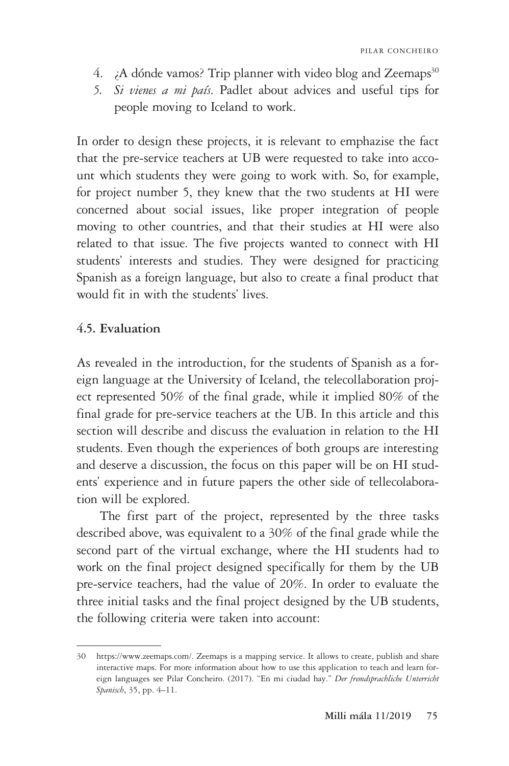- 4.  $\mu$  A dónde vamos? Trip planner with video blog and Zeemaps<sup>30</sup>
- *5. Si vienes a mi país*. Padlet about advices and useful tips for people moving to Iceland to work.

In order to design these projects, it is relevant to emphazise the fact that the pre-service teachers at UB were requested to take into account which students they were going to work with. So, for example, for project number 5, they knew that the two students at HI were concerned about social issues, like proper integration of people moving to other countries, and that their studies at HI were also related to that issue. The five projects wanted to connect with HI students' interests and studies. They were designed for practicing Spanish as a foreign language, but also to create a final product that would fit in with the students' lives.

#### **4.5. Evaluation**

As revealed in the introduction, for the students of Spanish as a foreign language at the University of Iceland, the telecollaboration project represented 50% of the final grade, while it implied 80% of the final grade for pre-service teachers at the UB. In this article and this section will describe and discuss the evaluation in relation to the HI students. Even though the experiences of both groups are interesting and deserve a discussion, the focus on this paper will be on HI students' experience and in future papers the other side of tellecolaboration will be explored.

 The first part of the project, represented by the three tasks described above, was equivalent to a 30% of the final grade while the second part of the virtual exchange, where the HI students had to work on the final project designed specifically for them by the UB pre-service teachers, had the value of 20%. In order to evaluate the three initial tasks and the final project designed by the UB students, the following criteria were taken into account:

<sup>30</sup> https://www.zeemaps.com/. Zeemaps is a mapping service. It allows to create, publish and share interactive maps. For more information about how to use this application to teach and learn foreign languages see Pilar Concheiro. (2017). "En mi ciudad hay." *Der fremdsprachliche Unterricht Spanisch*, 35, pp. 4–11.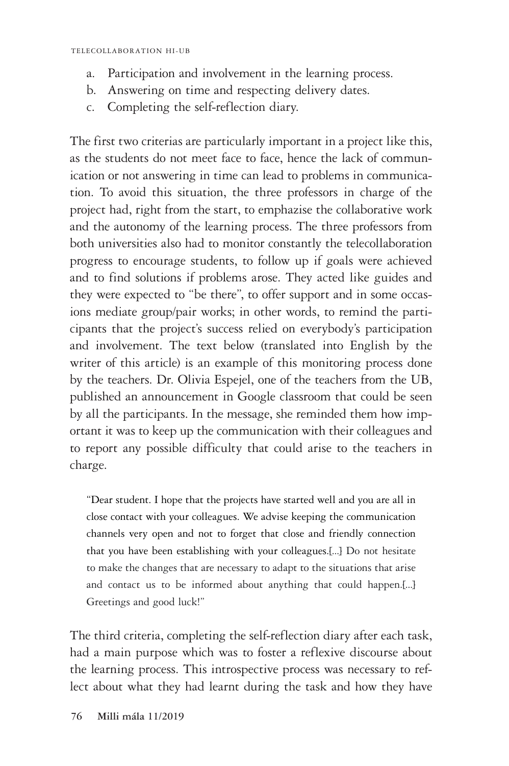- a. Participation and involvement in the learning process.
- b. Answering on time and respecting delivery dates.
- c. Completing the self-reflection diary.

The first two criterias are particularly important in a project like this, as the students do not meet face to face, hence the lack of communication or not answering in time can lead to problems in communication. To avoid this situation, the three professors in charge of the project had, right from the start, to emphazise the collaborative work and the autonomy of the learning process. The three professors from both universities also had to monitor constantly the telecollaboration progress to encourage students, to follow up if goals were achieved and to find solutions if problems arose. They acted like guides and they were expected to "be there", to offer support and in some occasions mediate group/pair works; in other words, to remind the participants that the project's success relied on everybody's participation and involvement. The text below (translated into English by the writer of this article) is an example of this monitoring process done by the teachers. Dr. Olivia Espejel, one of the teachers from the UB, published an announcement in Google classroom that could be seen by all the participants. In the message, she reminded them how important it was to keep up the communication with their colleagues and to report any possible difficulty that could arise to the teachers in charge.

"Dear student. I hope that the projects have started well and you are all in close contact with your colleagues. We advise keeping the communication channels very open and not to forget that close and friendly connection that you have been establishing with your colleagues.[...] Do not hesitate to make the changes that are necessary to adapt to the situations that arise and contact us to be informed about anything that could happen.[...] Greetings and good luck!"

The third criteria, completing the self-reflection diary after each task, had a main purpose which was to foster a reflexive discourse about the learning process. This introspective process was necessary to reflect about what they had learnt during the task and how they have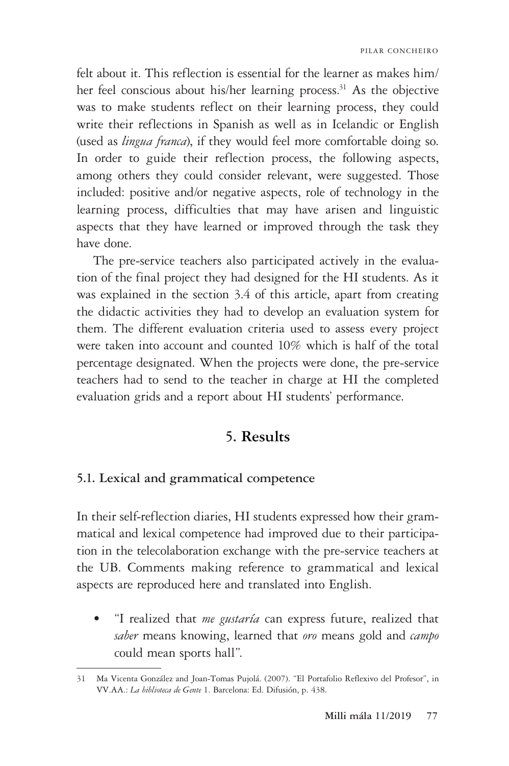felt about it. This reflection is essential for the learner as makes him/ her feel conscious about his/her learning process.<sup>31</sup> As the objective was to make students reflect on their learning process, they could write their reflections in Spanish as well as in Icelandic or English (used as *lingua franca*), if they would feel more comfortable doing so. In order to guide their reflection process, the following aspects, among others they could consider relevant, were suggested. Those included: positive and/or negative aspects, role of technology in the learning process, difficulties that may have arisen and linguistic aspects that they have learned or improved through the task they have done.

The pre-service teachers also participated actively in the evaluation of the final project they had designed for the HI students. As it was explained in the section 3.4 of this article, apart from creating the didactic activities they had to develop an evaluation system for them. The different evaluation criteria used to assess every project were taken into account and counted 10% which is half of the total percentage designated. When the projects were done, the pre-service teachers had to send to the teacher in charge at HI the completed evaluation grids and a report about HI students' performance.

### **5. Results**

#### **5.1. Lexical and grammatical competence**

In their self-reflection diaries, HI students expressed how their grammatical and lexical competence had improved due to their participation in the telecolaboration exchange with the pre-service teachers at the UB. Comments making reference to grammatical and lexical aspects are reproduced here and translated into English.

• "I realized that *me gustaría* can express future, realized that *saber* means knowing, learned that *oro* means gold and *campo* could mean sports hall".

<sup>31</sup> Ma Vicenta González and Joan-Tomas Pujolá. (2007). "El Portafolio Reflexivo del Profesor", in VV.AA.: *La biblioteca de Gente* 1. Barcelona: Ed. Difusión, p. 438.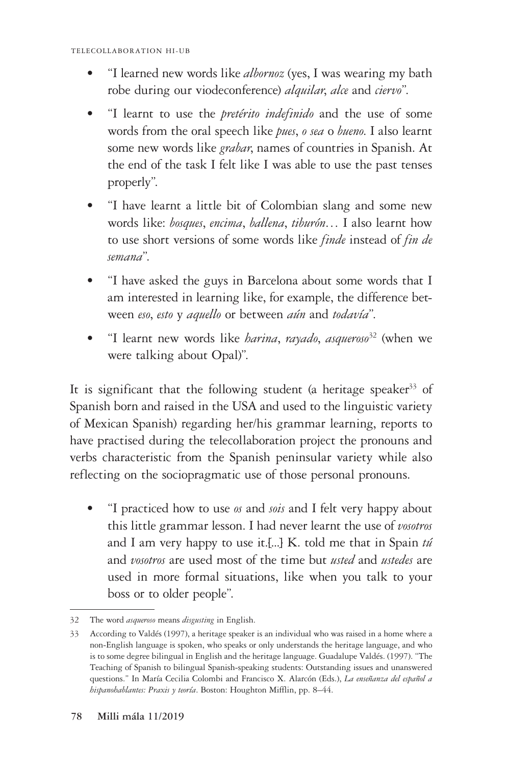- "I learned new words like *albornoz* (yes, I was wearing my bath robe during our viodeconference) *alquilar*, *alce* and *ciervo*".
- "I learnt to use the *pretérito indefinido* and the use of some words from the oral speech like *pues*, *o sea* o *bueno*. I also learnt some new words like *grabar*, names of countries in Spanish. At the end of the task I felt like I was able to use the past tenses properly".
- "I have learnt a little bit of Colombian slang and some new words like: *bosques*, *encima*, *ballena*, *tiburón*… I also learnt how to use short versions of some words like *finde* instead of *fin de semana*".
- "I have asked the guys in Barcelona about some words that I am interested in learning like, for example, the difference between *eso*, *esto* y *aquello* or between *aún* and *todavía*".
- "I learnt new words like *harina*, *rayado*, *asqueroso*32 (when we were talking about Opal)".

It is significant that the following student (a heritage speaker<sup>33</sup> of Spanish born and raised in the USA and used to the linguistic variety of Mexican Spanish) regarding her/his grammar learning, reports to have practised during the telecollaboration project the pronouns and verbs characteristic from the Spanish peninsular variety while also reflecting on the sociopragmatic use of those personal pronouns.

• "I practiced how to use *os* and *sois* and I felt very happy about this little grammar lesson. I had never learnt the use of *vosotros*  and I am very happy to use it.[...] K. told me that in Spain *tú*  and *vosotros* are used most of the time but *usted* and *ustedes* are used in more formal situations, like when you talk to your boss or to older people".

<sup>32</sup> The word *asqueroso* means *disgusting* in English.

<sup>33</sup> According to Valdés (1997), a heritage speaker is an individual who was raised in a home where a non-English language is spoken, who speaks or only understands the heritage language, and who is to some degree bilingual in English and the heritage language. Guadalupe Valdés. (1997). "The Teaching of Spanish to bilingual Spanish-speaking students: Outstanding issues and unanswered questions." In María Cecilia Colombi and Francisco X. Alarcón (Eds.), *La enseñanza del español a hispanohablantes: Praxis y teoría*. Boston: Houghton Mifflin, pp. 8–44.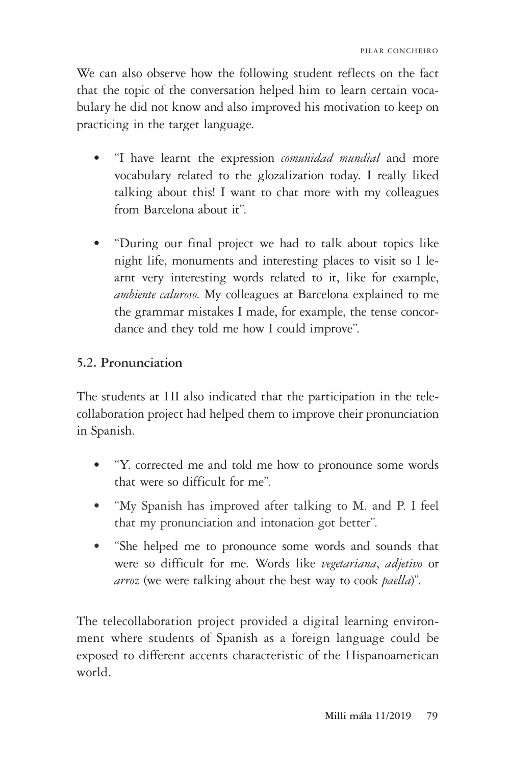We can also observe how the following student reflects on the fact that the topic of the conversation helped him to learn certain vocabulary he did not know and also improved his motivation to keep on practicing in the target language.

- "I have learnt the expression *comunidad mundial* and more vocabulary related to the glozalization today. I really liked talking about this! I want to chat more with my colleagues from Barcelona about it".
- "During our final project we had to talk about topics like night life, monuments and interesting places to visit so I learnt very interesting words related to it, like for example, *ambiente caluroso*. My colleagues at Barcelona explained to me the grammar mistakes I made, for example, the tense concordance and they told me how I could improve".

### **5.2. Pronunciation**

The students at HI also indicated that the participation in the telecollaboration project had helped them to improve their pronunciation in Spanish.

- "Y. corrected me and told me how to pronounce some words that were so difficult for me".
- "My Spanish has improved after talking to M. and P. I feel that my pronunciation and intonation got better".
- "She helped me to pronounce some words and sounds that were so difficult for me. Words like *vegetariana*, *adjetivo* or *arroz* (we were talking about the best way to cook *paella*)".

The telecollaboration project provided a digital learning environment where students of Spanish as a foreign language could be exposed to different accents characteristic of the Hispanoamerican world.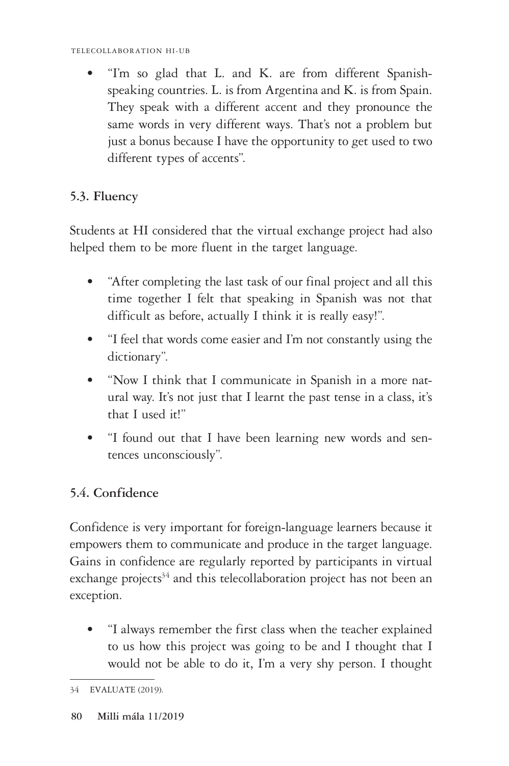• "I'm so glad that L. and K. are from different Spanishspeaking countries. L. is from Argentina and K. is from Spain. They speak with a different accent and they pronounce the same words in very different ways. That's not a problem but just a bonus because I have the opportunity to get used to two different types of accents".

### **5.3. Fluency**

Students at HI considered that the virtual exchange project had also helped them to be more fluent in the target language.

- "After completing the last task of our final project and all this time together I felt that speaking in Spanish was not that difficult as before, actually I think it is really easy!".
- "I feel that words come easier and I'm not constantly using the dictionary".
- "Now I think that I communicate in Spanish in a more natural way. It's not just that I learnt the past tense in a class, it's that I used it!"
- "I found out that I have been learning new words and sentences unconsciously".

# **5.4. Confidence**

Confidence is very important for foreign-language learners because it empowers them to communicate and produce in the target language. Gains in confidence are regularly reported by participants in virtual exchange projects<sup>34</sup> and this telecollaboration project has not been an exception.

• "I always remember the first class when the teacher explained to us how this project was going to be and I thought that I would not be able to do it, I'm a very shy person. I thought

<sup>34</sup> EVALUATE (2019).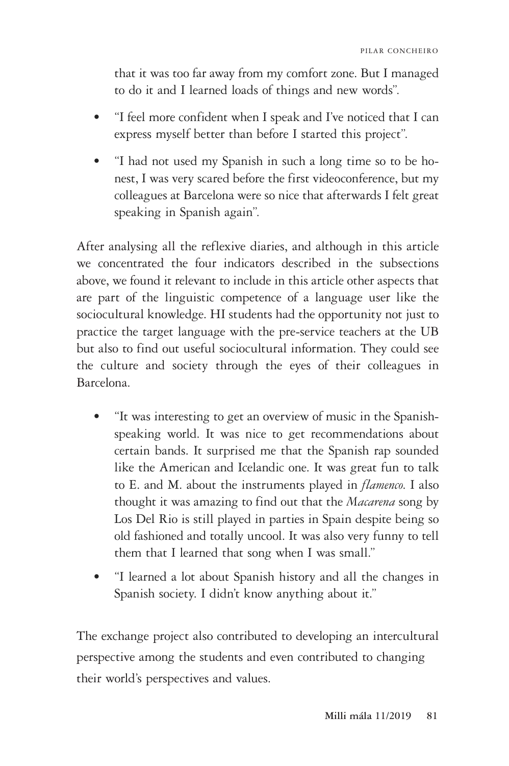that it was too far away from my comfort zone. But I managed to do it and I learned loads of things and new words".

- "I feel more confident when I speak and I've noticed that I can express myself better than before I started this project".
- "I had not used my Spanish in such a long time so to be honest, I was very scared before the first videoconference, but my colleagues at Barcelona were so nice that afterwards I felt great speaking in Spanish again".

After analysing all the reflexive diaries, and although in this article we concentrated the four indicators described in the subsections above, we found it relevant to include in this article other aspects that are part of the linguistic competence of a language user like the sociocultural knowledge. HI students had the opportunity not just to practice the target language with the pre-service teachers at the UB but also to find out useful sociocultural information. They could see the culture and society through the eyes of their colleagues in Barcelona.

- "It was interesting to get an overview of music in the Spanishspeaking world. It was nice to get recommendations about certain bands. It surprised me that the Spanish rap sounded like the American and Icelandic one. It was great fun to talk to E. and M. about the instruments played in *flamenco*. I also thought it was amazing to find out that the *Macarena* song by Los Del Rio is still played in parties in Spain despite being so old fashioned and totally uncool. It was also very funny to tell them that I learned that song when I was small."
- "I learned a lot about Spanish history and all the changes in Spanish society. I didn't know anything about it."

The exchange project also contributed to developing an intercultural perspective among the students and even contributed to changing their world's perspectives and values.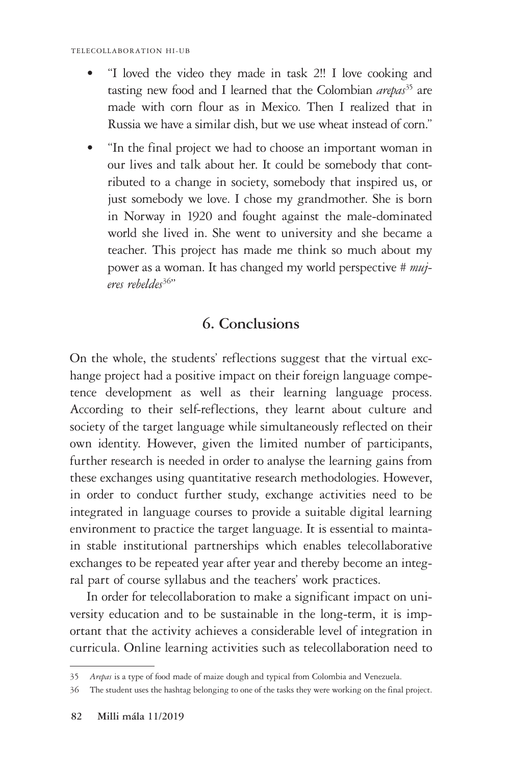- "I loved the video they made in task 2!! I love cooking and tasting new food and I learned that the Colombian *arepas*<sup>35</sup> are made with corn flour as in Mexico. Then I realized that in Russia we have a similar dish, but we use wheat instead of corn."
- "In the final project we had to choose an important woman in our lives and talk about her. It could be somebody that contributed to a change in society, somebody that inspired us, or just somebody we love. I chose my grandmother. She is born in Norway in 1920 and fought against the male-dominated world she lived in. She went to university and she became a teacher. This project has made me think so much about my power as a woman. It has changed my world perspective *# mujeres rebeldes*36"

# **6. Conclusions**

On the whole, the students' reflections suggest that the virtual exchange project had a positive impact on their foreign language competence development as well as their learning language process. According to their self-reflections, they learnt about culture and society of the target language while simultaneously reflected on their own identity. However, given the limited number of participants, further research is needed in order to analyse the learning gains from these exchanges using quantitative research methodologies. However, in order to conduct further study, exchange activities need to be integrated in language courses to provide a suitable digital learning environment to practice the target language. It is essential to maintain stable institutional partnerships which enables telecollaborative exchanges to be repeated year after year and thereby become an integral part of course syllabus and the teachers' work practices.

In order for telecollaboration to make a significant impact on university education and to be sustainable in the long-term, it is important that the activity achieves a considerable level of integration in curricula. Online learning activities such as telecollaboration need to

<sup>35</sup> *Arepas* is a type of food made of maize dough and typical from Colombia and Venezuela.

<sup>36</sup> The student uses the hashtag belonging to one of the tasks they were working on the final project.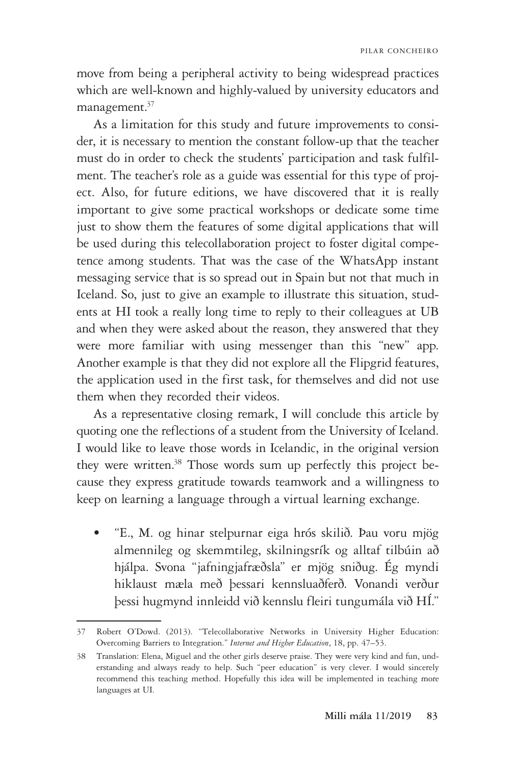move from being a peripheral activity to being widespread practices which are well-known and highly-valued by university educators and management.<sup>37</sup>

As a limitation for this study and future improvements to consider, it is necessary to mention the constant follow-up that the teacher must do in order to check the students' participation and task fulfilment. The teacher's role as a guide was essential for this type of project. Also, for future editions, we have discovered that it is really important to give some practical workshops or dedicate some time just to show them the features of some digital applications that will be used during this telecollaboration project to foster digital competence among students. That was the case of the WhatsApp instant messaging service that is so spread out in Spain but not that much in Iceland. So, just to give an example to illustrate this situation, students at HI took a really long time to reply to their colleagues at UB and when they were asked about the reason, they answered that they were more familiar with using messenger than this "new" app. Another example is that they did not explore all the Flipgrid features, the application used in the first task, for themselves and did not use them when they recorded their videos.

As a representative closing remark, I will conclude this article by quoting one the reflections of a student from the University of Iceland. I would like to leave those words in Icelandic, in the original version they were written.<sup>38</sup> Those words sum up perfectly this project because they express gratitude towards teamwork and a willingness to keep on learning a language through a virtual learning exchange.

• "E., M. og hinar stelpurnar eiga hrós skilið. Þau voru mjög almennileg og skemmtileg, skilningsrík og alltaf tilbúin að hjálpa. Svona "jafningjafræðsla" er mjög sniðug. Ég myndi hiklaust mæla með þessari kennsluaðferð. Vonandi verður þessi hugmynd innleidd við kennslu fleiri tungumála við HÍ."

<sup>37</sup> Robert O'Dowd. (2013). "Telecollaborative Networks in University Higher Education: Overcoming Barriers to Integration." *Internet and Higher Education*, 18, pp. 47–53.

<sup>38</sup> Translation: Elena, Miguel and the other girls deserve praise. They were very kind and fun, understanding and always ready to help. Such "peer education" is very clever. I would sincerely recommend this teaching method. Hopefully this idea will be implemented in teaching more languages at UI.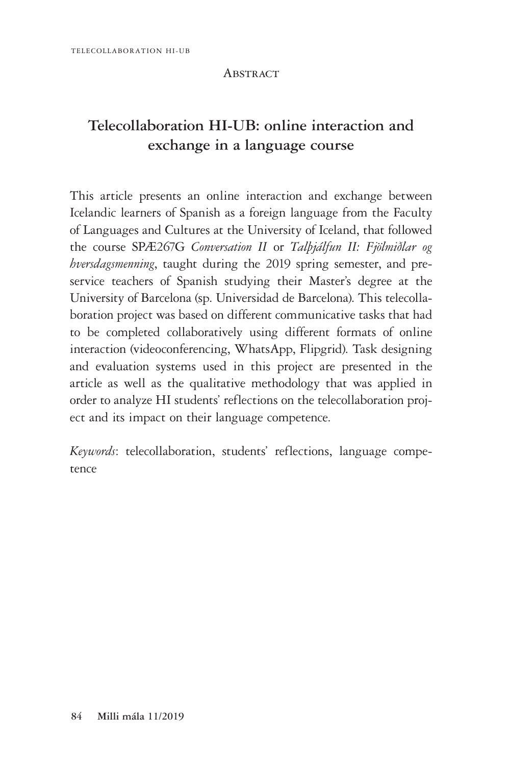#### **ABSTRACT**

# **Telecollaboration HI-UB: online interaction and exchange in a language course**

This article presents an online interaction and exchange between Icelandic learners of Spanish as a foreign language from the Faculty of Languages and Cultures at the University of Iceland, that followed the course SPÆ267G *Conversation II* or *Talþjálfun II: Fjölmiðlar og hversdagsmenning*, taught during the 2019 spring semester, and preservice teachers of Spanish studying their Master's degree at the University of Barcelona (sp. Universidad de Barcelona). This telecollaboration project was based on different communicative tasks that had to be completed collaboratively using different formats of online interaction (videoconferencing, WhatsApp, Flipgrid). Task designing and evaluation systems used in this project are presented in the article as well as the qualitative methodology that was applied in order to analyze HI students' reflections on the telecollaboration project and its impact on their language competence.

*Keywords*: telecollaboration, students' reflections, language competence